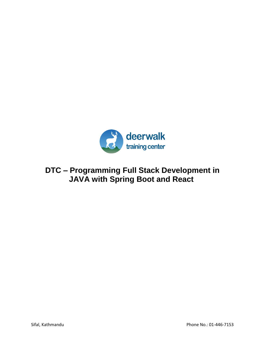

# **DTC – Programming Full Stack Development in JAVA with Spring Boot and React**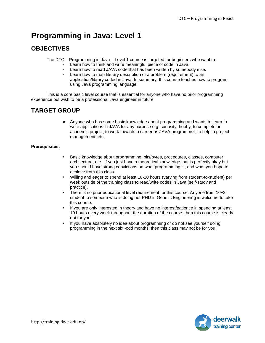# **Programming in Java: Level 1**

## **OBJECTIVES**

The DTC – Programming in Java – Level 1 course is targeted for beginners who want to:

- Learn how to think and write meaningful piece of code in Java.
- Learn how to read JAVA code that has been written by somebody else.
- Learn how to map literary description of a problem (requirement) to an application/library coded in Java. In summary, this course teaches how to program using Java programming language.

This is a core basic level course that is essential for anyone who have no prior programming experience but wish to be a professional Java engineer in future

# **TARGET GROUP**

● Anyone who has some basic knowledge about programming and wants to learn to write applications in JAVA for any purpose e.g. curiosity, hobby, to complete an academic project, to work towards a career as JAVA programmer, to help in project management, etc.

#### **Prerequisites:**

- Basic knowledge about programming, bits/bytes, procedures, classes, computer architecture, etc. If you just have a theoretical knowledge that is perfectly okay but you should have strong convictions on what programming is, and what you hope to achieve from this class.
- Willing and eager to spend at least 10-20 hours (varying from student-to-student) per week outside of the training class to read/write codes in Java (self-study and practice).
- There is no prior educational level requirement for this course. Anyone from 10+2 student to someone who is doing her PHD in Genetic Engineering is welcome to take this course.
- If you are only interested in theory and have no interest/patience in spending at least 10 hours every week throughout the duration of the course, then this course is clearly not for you.
- If you have absolutely no idea about programming or do not see yourself doing programming in the next six -odd months, then this class may not be for you!

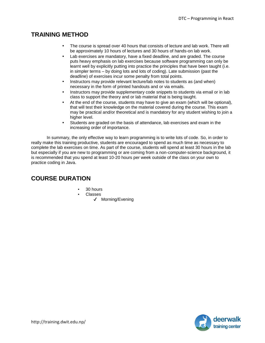### **TRAINING METHOD**

- The course is spread over 40 hours that consists of lecture and lab work. There will be approximately 10 hours of lectures and 30 hours of hands-on lab work.
- Lab exercises are mandatory, have a fixed deadline, and are graded. The course puts heavy emphasis on lab exercises because software programming can only be learnt well by explicitly putting into practice the principles that have been taught (i.e. in simpler terms – by doing lots and lots of coding). Late submission (past the deadline) of exercises incur some penalty from total points.
- Instructors may provide relevant lecture/lab notes to students as (and when) necessary in the form of printed handouts and or via emails.
- Instructors may provide supplementary code snippets to students via email or in lab class to support the theory and or lab material that is being taught.
- At the end of the course, students may have to give an exam (which will be optional), that will test their knowledge on the material covered during the course. This exam may be practical and/or theoretical and is mandatory for any student wishing to join a higher level.
- Students are graded on the basis of attendance, lab exercises and exam in the increasing order of importance.

In summary, the only effective way to learn programming is to write lots of code. So, in order to really make this training productive, students are encouraged to spend as much time as necessary to complete the lab exercises on time. As part of the course, students will spend at least 30 hours in the lab but especially if you are new to programming or are coming from a non-computer-science background, it is recommended that you spend at least 10-20 hours per week outside of the class on your own to practice coding in Java.

### **COURSE DURATION**

- 30 hours
- **Classes** 
	- ✔ Morning/Evening

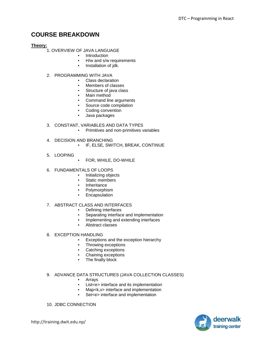### **COURSE BREAKDOWN**

#### **Theory:**

1. OVERVIEW OF JAVA LANGUAGE

- Introduction
- H/w and s/w requirements
- Installation of jdk.
- 2. PROGRAMMING WITH JAVA
	- Class declaration
	- Members of classes
	- Structure of java class
	- Main method
	- **•** Command line arguments<br>• Source code compilation
	- Source code compilation
	- Coding convention
	- Java packages

#### 3. CONSTANT, VARIABLES AND DATA TYPES

- Primitives and non-primitives variables
- 4. DECISION AND BRANCHING
	- IF, ELSE, SWITCH, BREAK, CONTINUE
- 5. LOOPING
	- FOR, WHILE, DO-WHILE
- 6. FUNDAMENTALS OF LOOPS
	- Initializing objects
	- Static members
	- Inheritance
	- **Polymorphism**
	- Encapsulation

#### 7. ABSTRACT CLASS AND INTERFACES

- Defining interfaces
- Separating interface and implementation
- **•** Implementing and extending interfaces
- Abstract classes
- 8. EXCEPTION HANDLING
	- Exceptions and the exception hierarchy
	- **•** Throwing exceptions<br>• Catching exceptions
	- Catching exceptions
	- Chaining exceptions
	- The finally block

#### 9. ADVANCE DATA STRUCTURES (JAVA COLLECTION CLASSES)

- Arrays
- List<e> interface and its implementation
- Map<k, v> interface and implementation
- Set<e> interface and implementation
- 10. JDBC CONNECTION

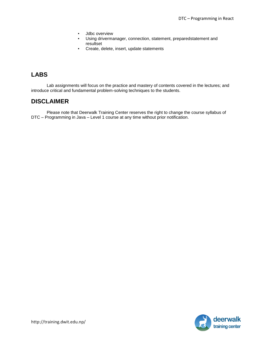- Jdbc overview
- Using drivermanager, connection, statement, preparedstatement and resultset
- Create, delete, insert, update statements

### **LABS**

Lab assignments will focus on the practice and mastery of contents covered in the lectures; and introduce critical and fundamental problem-solving techniques to the students.

### **DISCLAIMER**

Please note that Deerwalk Training Center reserves the right to change the course syllabus of DTC – Programming in Java – Level 1 course at any time without prior notification.

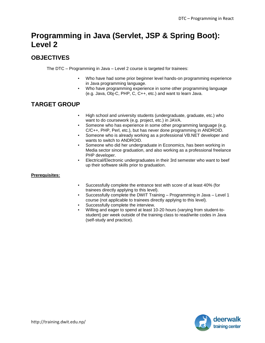# **Programming in Java (Servlet, JSP & Spring Boot): Level 2**

# **OBJECTIVES**

The DTC – Programming in Java – Level 2 course is targeted for trainees:

- Who have had some prior beginner level hands-on programming experience in Java programming language.
- Who have programming experience in some other programming language (e.g. Java, Obj-C, PHP, C, C++, etc.) and want to learn Java.

## **TARGET GROUP**

- High school and university students (undergraduate, graduate, etc.) who want to do coursework (e.g. project, etc.) in JAVA.
- Someone who has experience in some other programming language (e.g. C/C++, PHP, Perl, etc.), but has never done programming in ANDROID.
- Someone who is already working as a professional VB.NET developer and wants to switch to ANDROID.
- Someone who did her undergraduate in Economics, has been working in Media sector since graduation, and also working as a professional freelance PHP developer.
- Electrical/Electronic undergraduates in their 3rd semester who want to beef up their software skills prior to graduation.

#### **Prerequisites:**

- Successfully complete the entrance test with score of at least 40% (for trainees directly applying to this level).
- Successfully complete the DWIT Training Programming in Java Level 1 course (not applicable to trainees directly applying to this level).
- Successfully complete the interview.
- Willing and eager to spend at least 10-20 hours (varying from student-tostudent) per week outside of the training class to read/write codes in Java (self-study and practice).

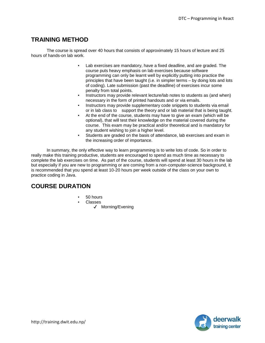### **TRAINING METHOD**

The course is spread over 40 hours that consists of approximately 15 hours of lecture and 25 hours of hands-on lab work.

- Lab exercises are mandatory, have a fixed deadline, and are graded. The course puts heavy emphasis on lab exercises because software programming can only be learnt well by explicitly putting into practice the principles that have been taught (i.e. in simpler terms – by doing lots and lots of coding). Late submission (past the deadline) of exercises incur some penalty from total points.
- Instructors may provide relevant lecture/lab notes to students as (and when) necessary in the form of printed handouts and or via emails.
- Instructors may provide supplementary code snippets to students via email or in lab class to support the theory and or lab material that is being taught.
- At the end of the course, students may have to give an exam (which will be optional), that will test their knowledge on the material covered during the course. This exam may be practical and/or theoretical and is mandatory for any student wishing to join a higher level.
- Students are graded on the basis of attendance, lab exercises and exam in the increasing order of importance.

In summary, the only effective way to learn programming is to write lots of code. So in order to really make this training productive, students are encouraged to spend as much time as necessary to complete the lab exercises on time. As part of the course, students will spend at least 30 hours in the lab but especially if you are new to programming or are coming from a non-computer-science background, it is recommended that you spend at least 10-20 hours per week outside of the class on your own to practice coding in Java.

### **COURSE DURATION**

- $50$  hours
- Classes
	- ✔ Morning/Evening

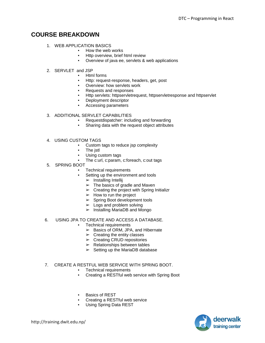### **COURSE BREAKDOWN**

- 1. WEB APPLICATION BASICS
	- How the web works
	- **•** Http overview, brief html review
	- Overview of java ee, servlets & web applications
- 2. SERVLET and JSP
	- Html forms
	- Http: request-response, headers, get, post
	- Overview: how servlets work
	- Requests and responses
	- Http servlets: httpservletrequest, httpservletresponse and httpservlet
	- Deployment descriptor
	- Accessing parameters

#### 3. ADDITIONAL SERVLET CAPABILITIES

- Requestdispatcher: including and forwarding
- Sharing data with the request object attributes
- 4. USING CUSTOM TAGS
	- Custom tags to reduce jsp complexity
	- The jstl
	- Using custom tags
	- The c:url, c:param, c:foreach, c:out tags
- 5. SPRING BOOT
	- **Technical requirements** 
		- Setting up the environment and tools
			- $\triangleright$  Installing Intellij
			- $\triangleright$  The basics of gradle and Maven
			- $\triangleright$  Creating the project with Spring Initializr
			- $\blacktriangleright$  How to run the project
			- $\triangleright$  Spring Boot development tools
			- $\blacktriangleright$  Logs and problem solving
			- $\triangleright$  Installing MariaDB and Mongo

#### 6. USING JPA TO CREATE AND ACCESS A DATABASE.

- Technical requirements
	- $\blacktriangleright$  Basics of ORM, JPA, and Hibernate
	- $\triangleright$  Creating the entity classes
	- $\triangleright$  Creating CRUD repositories
	- $\triangleright$  Relationships between tables
	- $\triangleright$  Setting up the MariaDB database

#### 7. CREATE A RESTFUL WEB SERVICE WITH SPRING BOOT.

- Technical requirements
- Creating a RESTful web service with Spring Boot
- **Basics of RES[T](https://kisslibrary.net/read-preview/c1024215651b7b9c9e11#80373)**
- Creating a RESTful web service
- Using Spring Data REST

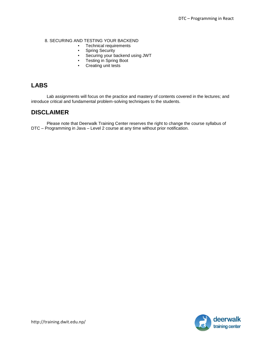#### 8. SECURING AND TESTING YOUR BACKEND

- Technical requirements
- Spring Security
- Securing your backend using JWT
- Testing in Spring Boot
- Creating unit tests

### **LABS**

Lab assignments will focus on the practice and mastery of contents covered in the lectures; and introduce critical and fundamental problem-solving techniques to the students.

### **DISCLAIMER**

Please note that Deerwalk Training Center reserves the right to change the course syllabus of DTC – Programming in Java – Level 2 course at any time without prior notification.

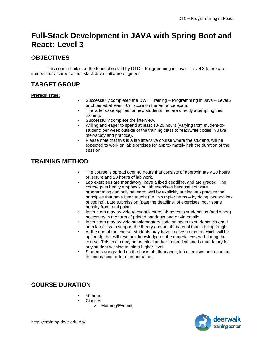# **Full-Stack Development in JAVA with Spring Boot and React: Level 3**

# **OBJECTIVES**

This course builds on the foundation laid by DTC – Programming in Java – Level 3 to prepare trainees for a career as full-stack Java software engineer.

# **TARGET GROUP**

#### **Prerequisites:**

- Successfully completed the DWIT Training Programming in Java Level 2 or obtained at least 40% score on the entrance exam.
- The latter case applies for new students that are directly attempting this training.
- Successfully complete the interview.
- Willing and eager to spend at least 10-20 hours (varying from student-tostudent) per week outside of the training class to read/write codes in Java (self-study and practice).
- Please note that this is a lab intensive course where the students will be expected to work on lab exercises for approximately half the duration of the session.

## **TRAINING METHOD**

- The course is spread over 40 hours that consists of approximately 20 hours of lecture and 20 hours of lab work.
- Lab exercises are mandatory, have a fixed deadline, and are graded. The course puts heavy emphasis on lab exercises because software programming can only be learnt well by explicitly putting into practice the principles that have been taught (i.e. in simpler terms – by doing lots and lots of coding). Late submission (past the deadline) of exercises incur some penalty from total points.
- Instructors may provide relevant lecture/lab notes to students as (and when) necessary in the form of printed handouts and or via emails.
- Instructors may provide supplementary code snippets to students via email or in lab class to support the theory and or lab material that is being taught.
- At the end of the course, students may have to give an exam (which will be optional), that will test their knowledge on the material covered during the course. This exam may be practical and/or theoretical and is mandatory for any student wishing to join a higher level.
- Students are graded on the basis of attendance, lab exercises and exam in the increasing order of importance.

### **COURSE DURATION**

- 40 hours
- **Classes** 
	- ✔ Morning/Evening

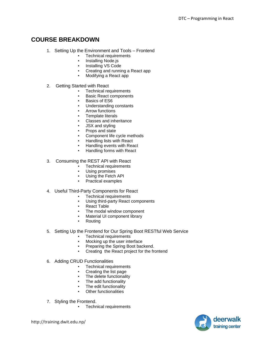### **COURSE BREAKDOWN**

- 1. Setting Up the Environment and Tools Frontend
	- **Technical requirements**
	- **Installing Node.js**
	- Installing VS Code
	- Creating and running a React app
	- Modifying a React app
- 2. Getting Started with React
	- Technical requirements
		- **Basic React components**
		- **Basics of ES6**
		- Understanding constants
		- Arrow functions
		- Template literals
		- Classes and inheritance
		- **JSX and styling**
		- Props and state
		- Component life cycle methods
		- Handling lists with React
		- Handling events with React
		- Handling forms with React

#### 3. Consuming the REST API with React

- Technical requirements
- Using promises<br>• Using the Fetch
- Using the Fetch API
- Practical examples

#### 4. Useful Third-Party Components for React

- Technical requirements
- Using third-party React components
- React Table
- The modal window component
- Material UI component library
- Routing
- 5. Setting Up the Frontend for Our Spring Boot RESTful Web Service
	- Technical requirements
	- Mocking up the user interface
	- Preparing the Spring Boot backend.
	- Creating the React project for the frontend
- 6. Adding CRUD Functionalities
	- **Technical requirements**
	- Creating the list page
	- The delete functionality
	- The add functionality
	- The edit functionality
	- **Other functionalities**
- 7. Styling the Frontend.
	- Technical requirements